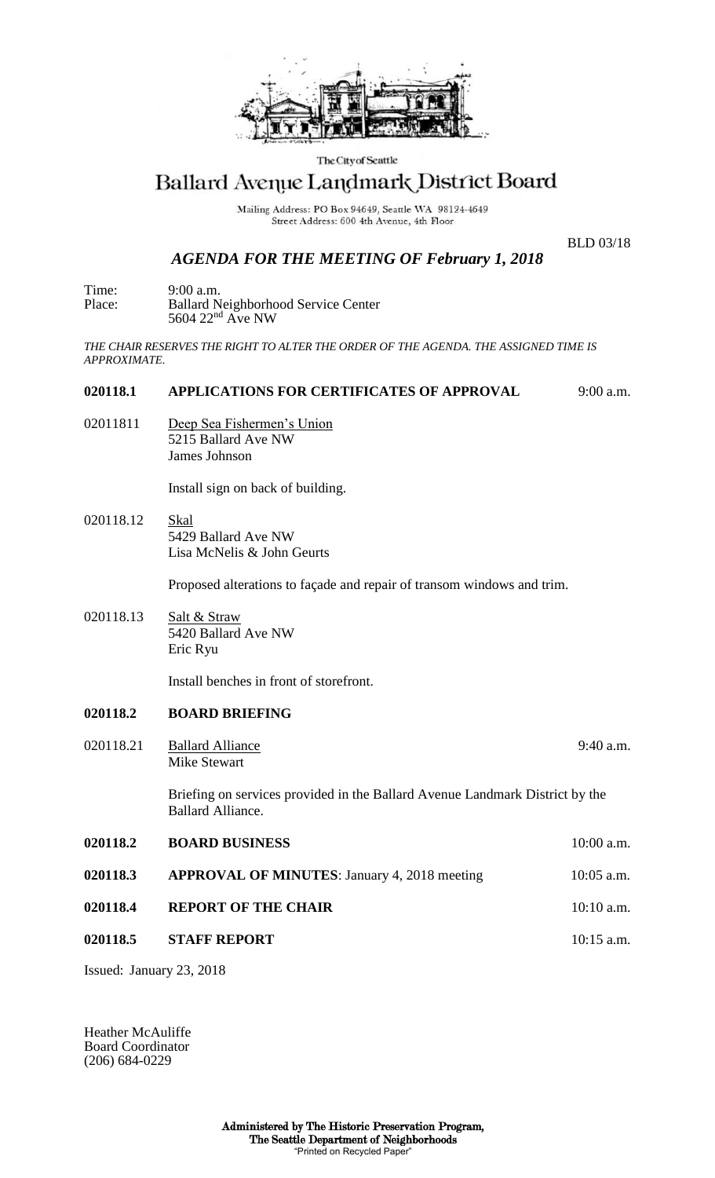

The City of Seattle

# Ballard Avenue Landmark District Board

Mailing Address: PO Box 94649, Seattle WA 98124-4649 Street Address: 600 4th Avenue, 4th Floor

BLD 03/18

## *AGENDA FOR THE MEETING OF February 1, 2018*

Time: 9:00 a.m. Place: Ballard Neighborhood Service Center  $5604$   $22<sup>nd</sup>$  Ave NW

*THE CHAIR RESERVES THE RIGHT TO ALTER THE ORDER OF THE AGENDA. THE ASSIGNED TIME IS APPROXIMATE.*

### **020118.1 APPLICATIONS FOR CERTIFICATES OF APPROVAL** 9:00 a.m.

02011811 Deep Sea Fishermen's Union 5215 Ballard Ave NW James Johnson

Install sign on back of building.

020118.12 Skal 5429 Ballard Ave NW Lisa McNelis & John Geurts

Proposed alterations to façade and repair of transom windows and trim.

020118.13 Salt & Straw 5420 Ballard Ave NW Eric Ryu

Install benches in front of storefront.

### **020118.2 BOARD BRIEFING**

020118.21 Ballard Alliance 9:40 a.m. Mike Stewart

Briefing on services provided in the Ballard Avenue Landmark District by the Ballard Alliance.

**020118.2 BOARD BUSINESS** 10:00 a.m. **020118.3 APPROVAL OF MINUTES**: January 4, 2018 meeting 10:05 a.m. **020118.4 REPORT OF THE CHAIR** 10:10 a.m. **020118.5 STAFF REPORT** 10:15 a.m.

Issued: January 23, 2018

Heather McAuliffe Board Coordinator (206) 684-0229